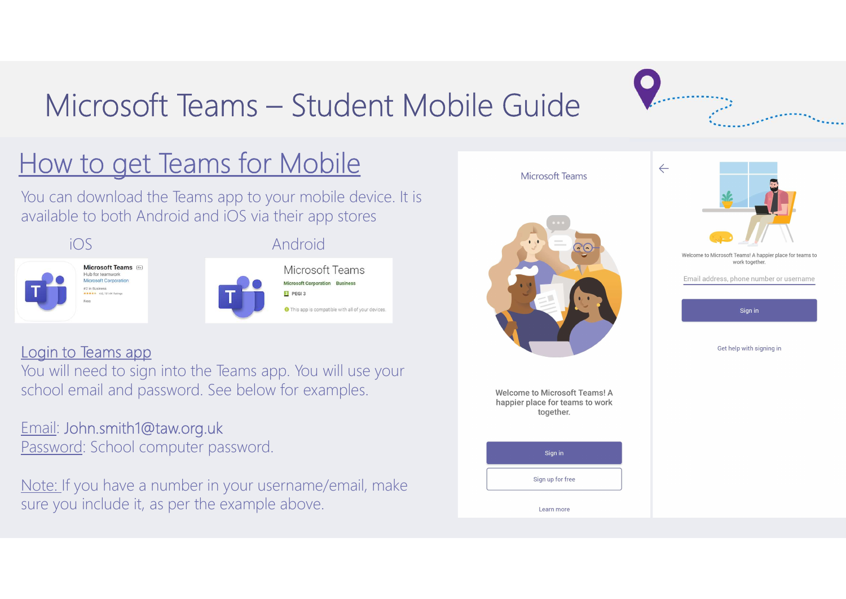# Microsoft Teams – Student Mobile Guide

## How to get Teams for Mobile

You can download the Teams app to your mobile device. It is available to both Android and iOS via their app stores



## Login to Teams app

You will need to sign into the Teams app. You will use your school email and password. See below for examples.

## Email: John.smith1@taw.org.uk

Password: School computer password.

Note: If you have a number in your username/email, make sure you include it, as per the example above.

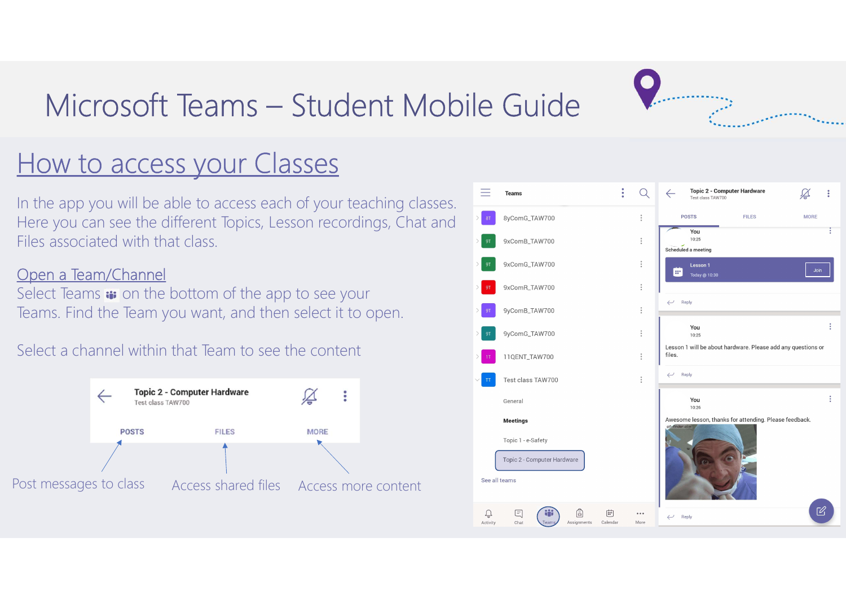# Microsoft Teams – Student Mobile Guide<br>Microsoft Teams – Student Mobile Guide<br>We to access your Classes



## How to access your Classes

Microsoft Teams — Student Mob<br>How to access your Classes<br>In the app you will be able to access each of your teaching classes.<br>Here you can see the different Topics, Lesson recordings, Chat and<br>Files associated with that cl In the app you will be able to access each of your teaching classes. Here you can see the different Topics, Lesson recordings, Chat and Files associated with that class.

## Open a Team/Channel

Teams. Find the Team you want, and then select it to open.

Select a channel within that Team to see the content



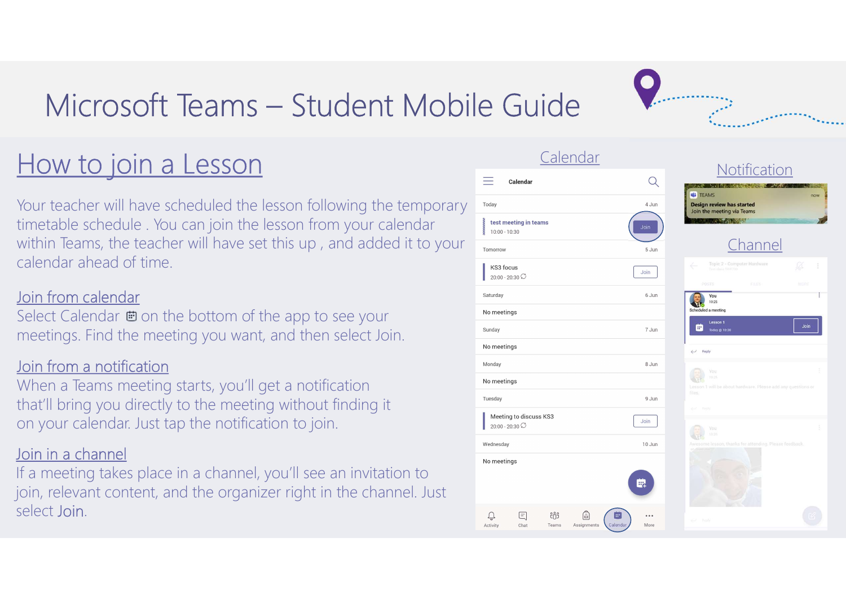# Microsoft Teams – Student Mobile Guide<br>
Microsoft Teams – Student Mobile Guide

## How to join a Lesson

Microsoft Teams — Student Mobil<br>
How to join a Lesson<br>
Your teacher will have scheduled the lesson following the temporary<br>
timetable schedule . You can join the lesson following the temporary<br>
within Teams, the teacher wi Your teacher will have scheduled the lesson following the temporary timetable schedule . You can join the lesson from your calendar within Teams, the teacher will have set this up , and added it to your calendar ahead of time.

## Join from calendar

## Join from a notification

## Join in a channel

| Microsoft Teams - Student Mobile Guide                                                                                                                                                                                                    |                                                                                               |                                                                  |
|-------------------------------------------------------------------------------------------------------------------------------------------------------------------------------------------------------------------------------------------|-----------------------------------------------------------------------------------------------|------------------------------------------------------------------|
| How to join a Lesson                                                                                                                                                                                                                      | Calendar<br>≡<br>Calendar                                                                     | $\mathsf{Q}$                                                     |
| Your teacher will have scheduled the lesson following the temporary<br>timetable schedule. You can join the lesson from your calendar<br>within Teams, the teacher will have set this up, and added it to your<br>calendar ahead of time. | Today<br>test meeting in teams<br>$10:00 - 10:30$<br>Tomorrow<br>KS3 focus<br>$20:00 - 20:30$ | <b>G</b> TE<br>Desig<br>Join t<br>4 Jun<br>Join<br>5 Jun<br>Join |
| <u>Join from calendar</u><br>Select Calendar $\blacksquare$ on the bottom of the app to see your<br>meetings. Find the meeting you want, and then select Join.                                                                            | Saturday<br>No meetings<br>Sunday<br>No meetings                                              | 6 Jun<br>Schedule<br>$\blacksquare$<br>7 Jun                     |
| Join from a notification<br>When a Teams meeting starts, you'll get a notification<br>that'll bring you directly to the meeting without finding it<br>on your calendar. Just tap the notification to join.                                | Monday<br>No meetings<br>Tuesday<br>Meeting to discuss KS3<br>$20:00 - 20:30$                 | 8 Jun<br>9 Jun<br>Join                                           |
| Join in a channel<br>If a meeting takes place in a channel, you'll see an invitation to<br>join, relevant content, and the organizer right in the channel. Just<br>select Join.                                                           | Wednesday<br>No meetings<br>(司)<br>Teams<br>Activity<br>Assignments                           | 10 Jun<br>睓<br>More                                              |



Notification